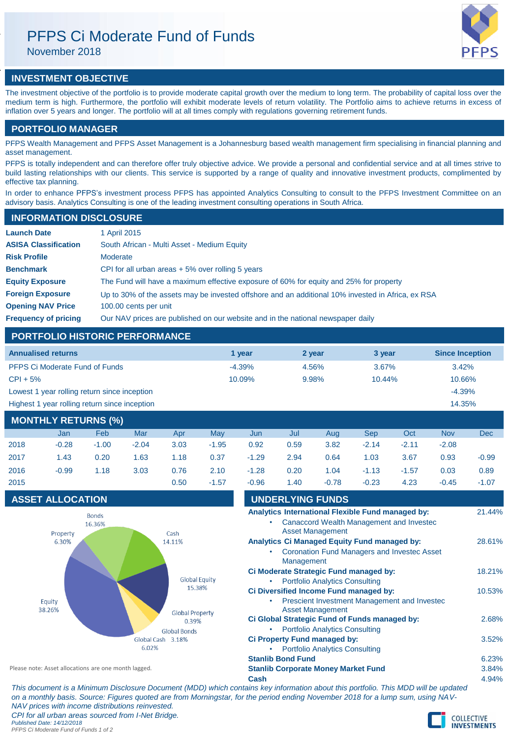# PFPS Ci Moderate Fund of Funds

November 2018

# **INVESTMENT OBJECTIVE**

The investment objective of the portfolio is to provide moderate capital growth over the medium to long term. The probability of capital loss over the medium term is high. Furthermore, the portfolio will exhibit moderate levels of return volatility. The Portfolio aims to achieve returns in excess of inflation over 5 years and longer. The portfolio will at all times comply with regulations governing retirement funds.

# **PORTFOLIO MANAGER**

PFPS Wealth Management and PFPS Asset Management is a Johannesburg based wealth management firm specialising in financial planning and asset management.

PFPS is totally independent and can therefore offer truly objective advice. We provide a personal and confidential service and at all times strive to build lasting relationships with our clients. This service is supported by a range of quality and innovative investment products, complimented by effective tax planning.

In order to enhance PFPS's investment process PFPS has appointed Analytics Consulting to consult to the PFPS Investment Committee on an advisory basis. Analytics Consulting is one of the leading investment consulting operations in South Africa.

| <b>INFORMATION DISCLOSURE</b> |                                                                                                   |
|-------------------------------|---------------------------------------------------------------------------------------------------|
| <b>Launch Date</b>            | 1 April 2015                                                                                      |
| <b>ASISA Classification</b>   | South African - Multi Asset - Medium Equity                                                       |
| <b>Risk Profile</b>           | Moderate                                                                                          |
| <b>Benchmark</b>              | CPI for all urban areas $+5\%$ over rolling 5 years                                               |
| <b>Equity Exposure</b>        | The Fund will have a maximum effective exposure of 60% for equity and 25% for property            |
| <b>Foreign Exposure</b>       | Up to 30% of the assets may be invested offshore and an additional 10% invested in Africa, ex RSA |
| <b>Opening NAV Price</b>      | 100.00 cents per unit                                                                             |
| <b>Frequency of pricing</b>   | Our NAV prices are published on our website and in the national newspaper daily                   |

# **PORTFOLIO HISTORIC PERFORMANCE**

| <b>Annualised returns</b>                     | 1 year   | 2 year | 3 year    | <b>Since Inception</b> |
|-----------------------------------------------|----------|--------|-----------|------------------------|
| PFPS Ci Moderate Fund of Funds                | $-4.39%$ | 4.56%  | 3.67%     | $3.42\%$               |
| $CPI + 5%$                                    | 10.09%   | 9.98%  | $10.44\%$ | 10.66%                 |
| Lowest 1 year rolling return since inception  |          |        |           | $-4.39%$               |
| Highest 1 year rolling return since inception |          |        | 14.35%    |                        |
|                                               |          |        |           |                        |

# **MONTHLY RETURNS (%)** Jan Feb Mar Apr May Jun Jul Aug Sep Oct Nov Dec 2018 -0.28 -1.00 -2.04 3.03 -1.95 0.92 0.59 3.82 -2.14 -2.11 -2.08 2017 1.43 0.20 1.63 1.18 0.37 -1.29 2.94 0.64 1.03 3.67 0.93 -0.99 2016 -0.99 1.18 3.03 0.76 2.10 -1.28 0.20 1.04 -1.13 -1.57 0.03 0.89 2015 0.50 -1.57 -0.96 1.40 -0.78 -0.23 4.23 -0.45 -1.07

## **ASSET ALLOCATION**



| <b>UNDERLYING FUNDS</b><br>Analytics International Flexible Fund managed by:<br>Canaccord Wealth Management and Investec<br><b>Asset Management</b> |        |
|-----------------------------------------------------------------------------------------------------------------------------------------------------|--------|
|                                                                                                                                                     | 21.44% |
|                                                                                                                                                     |        |
|                                                                                                                                                     |        |
| <b>Analytics Ci Managed Equity Fund managed by:</b>                                                                                                 | 28.61% |
| <b>Coronation Fund Managers and Investec Asset</b><br>Management                                                                                    |        |
| Ci Moderate Strategic Fund managed by:                                                                                                              | 18.21% |
| <b>Portfolio Analytics Consulting</b>                                                                                                               |        |
| Ci Diversified Income Fund managed by:                                                                                                              | 10.53% |
| Prescient Investment Management and Investec<br><b>Asset Management</b>                                                                             |        |
| Ci Global Strategic Fund of Funds managed by:                                                                                                       | 2.68%  |
| <b>Portfolio Analytics Consulting</b>                                                                                                               |        |
| Ci Property Fund managed by:                                                                                                                        | 3.52%  |
| <b>Portfolio Analytics Consulting</b>                                                                                                               |        |
| <b>Stanlib Bond Fund</b>                                                                                                                            | 6.23%  |
| <b>Stanlib Corporate Money Market Fund</b>                                                                                                          | 3.84%  |
| Cash                                                                                                                                                | 4.94%  |

*This document is a Minimum Disclosure Document (MDD) which contains key information about this portfolio. This MDD will be updated on a monthly basis. Source: Figures quoted are from Morningstar, for the period ending November 2018 for a lump sum, using NAV-NAV prices with income distributions reinvested. CPI for all urban areas sourced from I-Net Bridge. Published Date: 14/12/2018*

*PFPS Ci Moderate Fund of Funds 1 of 2*

Please note: Asset allocations are one month lagged.